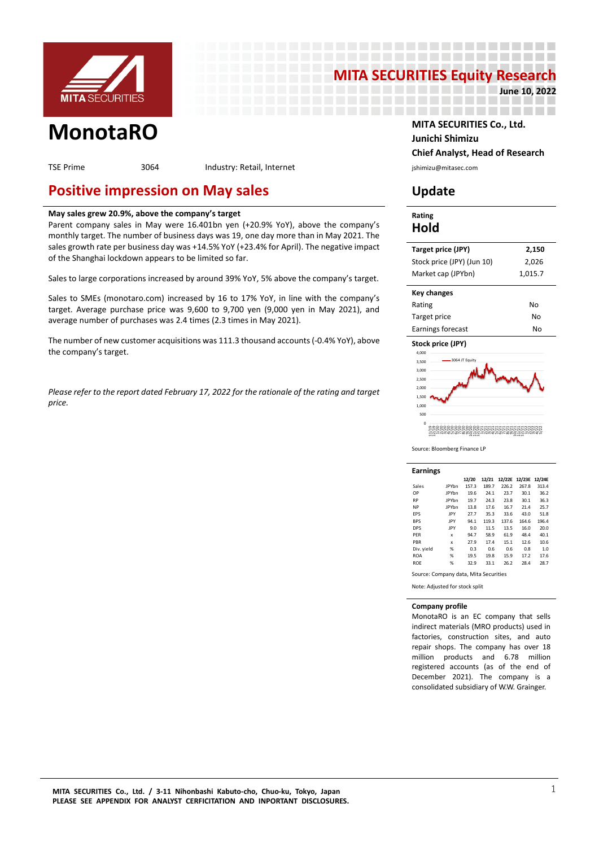

# **MITA SECURITIES Equity Research**<br>1922ء 19 والدا

------

--------------------

**June 10, 2022**

TSE Prime 3064 Industry: Retail, Internet industry: Retailed and the system of the section of the section of the section of the section of the section of the section of the section of the section of the section of the sect

## **Positive impression on May sales Update**

### **May sales grew 20.9%, above the company's target**

Parent company sales in May were 16.401bn yen (+20.9% YoY), above the company's monthly target. The number of business days was 19, one day more than in May 2021. The sales growth rate per business day was +14.5% YoY (+23.4% for April). The negative impact of the Shanghai lockdown appears to be limited so far.

Sales to large corporations increased by around 39% YoY, 5% above the company's target.

Sales to SMEs (monotaro.com) increased by 16 to 17% YoY, in line with the company's target. Average purchase price was 9,600 to 9,700 yen (9,000 yen in May 2021), and average number of purchases was 2.4 times (2.3 times in May 2021).

The number of new customer acquisitions was 111.3 thousand accounts (-0.4% YoY), above the company's target.

*Please refer to the report dated February 17, 2022 for the rationale of the rating and target price.*

### **MonotaRO MITA SECURITIES Co., Ltd. Junichi Shimizu Chief Analyst, Head of Research**

### **Rating Hold**

| Target price (JPY)         | 2,150   |
|----------------------------|---------|
| Stock price (JPY) (Jun 10) | 2.026   |
| Market cap (JPYbn)         | 1,015.7 |

| Key changes       |    |
|-------------------|----|
| Rating            | No |
| Target price      | No |
| Earnings forecast | N٥ |



Source: Bloomberg Finance LP

| <b>Earnings</b> |              |                                       |       |       |               |        |  |  |  |  |  |  |  |  |
|-----------------|--------------|---------------------------------------|-------|-------|---------------|--------|--|--|--|--|--|--|--|--|
|                 |              | 12/20                                 | 12/21 |       | 12/22E 12/23E | 12/24E |  |  |  |  |  |  |  |  |
| Sales           | <b>JPYbn</b> | 157.3                                 | 189.7 | 226.2 | 267.8         | 313.4  |  |  |  |  |  |  |  |  |
| OP              | <b>JPYbn</b> | 19.6                                  | 24.1  | 23.7  | 30.1          | 36.2   |  |  |  |  |  |  |  |  |
| <b>RP</b>       | <b>JPYbn</b> | 19.7                                  | 24.3  | 23.8  | 30.1          | 36.3   |  |  |  |  |  |  |  |  |
| <b>NP</b>       | JPYbn        | 13.8                                  | 17.6  | 16.7  | 21.4          | 25.7   |  |  |  |  |  |  |  |  |
| EPS             | IPY          | 27.7                                  | 35.3  | 33.6  | 43.0          | 51.8   |  |  |  |  |  |  |  |  |
| <b>BPS</b>      | JPY          | 94.1                                  | 119.3 | 137.6 | 164.6         | 196.4  |  |  |  |  |  |  |  |  |
| <b>DPS</b>      | JPY          | 9.0                                   | 11.5  | 13.5  | 16.0          | 20.0   |  |  |  |  |  |  |  |  |
| PFR             | x            | 94.7                                  | 58.9  | 61.9  | 48.4          | 40.1   |  |  |  |  |  |  |  |  |
| PBR             | x            | 27.9                                  | 17.4  | 15.1  | 12.6          | 10.6   |  |  |  |  |  |  |  |  |
| Div. yield      | %            | 0.3                                   | 0.6   | 0.6   | 0.8           | 1.0    |  |  |  |  |  |  |  |  |
| <b>ROA</b>      | %            | 19.5                                  | 19.8  | 15.9  | 17.2          | 17.6   |  |  |  |  |  |  |  |  |
| <b>ROE</b>      | %            | 32.9                                  | 33.1  | 26.2  | 28.4          | 28.7   |  |  |  |  |  |  |  |  |
|                 |              | Source: Company data, Mita Securities |       |       |               |        |  |  |  |  |  |  |  |  |

Note: Adjusted for stock split

#### **Company profile**

MonotaRO is an EC company that sells indirect materials (MRO products) used in factories, construction sites, and auto repair shops. The company has over 18 million products and 6.78 million registered accounts (as of the end of December 2021). The company is a consolidated subsidiary of W.W. Grainger.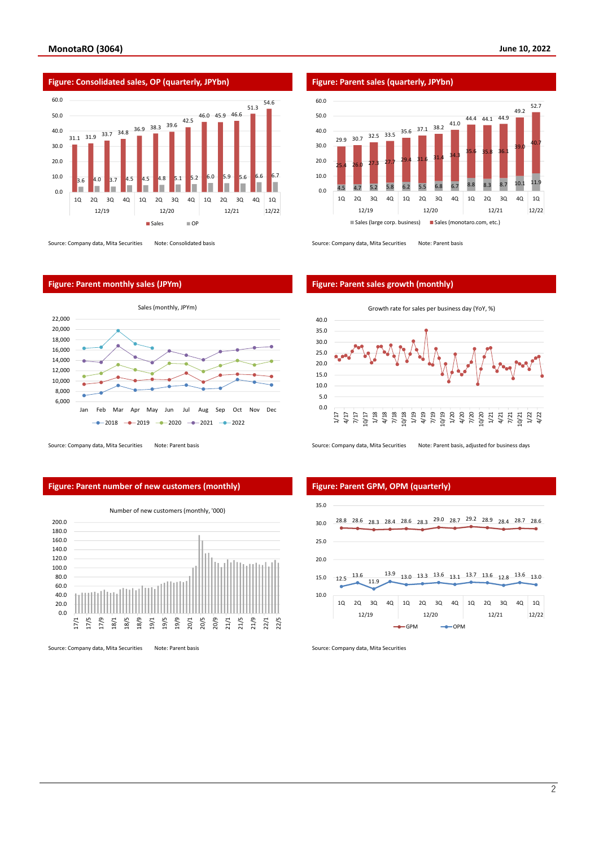

Source: Company data, Mita Securities Note: Consolidated basis Source: Company data, Mita Securities Note: Parent basis

#### **Figure: Parent monthly sales (JPYm) Figure: Parent sales growth (monthly)**



Source: Company data, Mita Securities Note: Parent basis Source: Company data, Mita Securities Note: Parent basis, adjusted for business days

#### **Figure: Parent number of new customers (monthly) Figure: Parent GPM, OPM (quarterly)**



Source: Company data, Mita Securities Note: Parent basis Source: Company data, Mita Securities Source: Company data, Mita Securities

Number of new customers (monthly, '000)





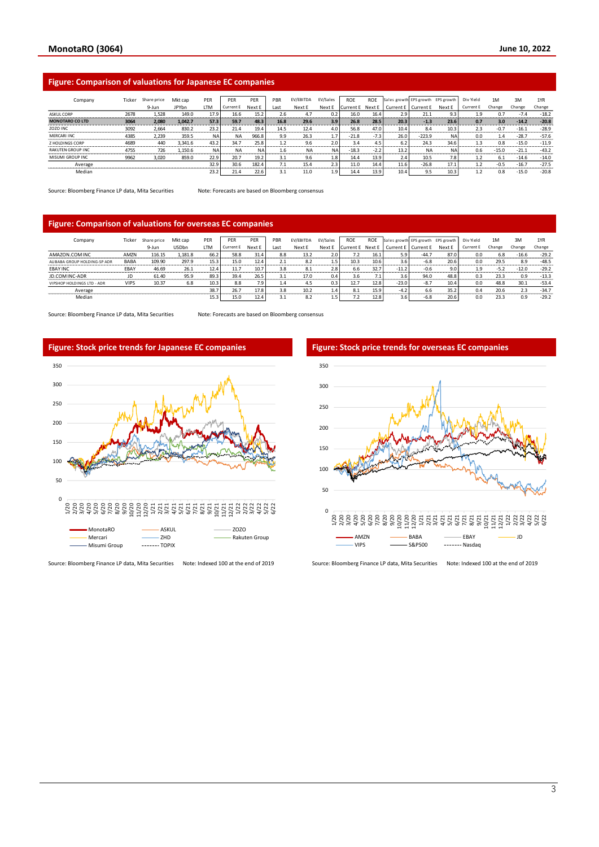#### **Figure: Comparison of valuations for Japanese EC companies**

| Company                  | Ticker | Share price | Mkt cap      | PER       | <b>PFR</b> | PER       | PBR                    | EV/EBITDA | EV/Sales  | <b>ROF</b> | <b>ROF</b> | Sales growth EPS growth EPS growth |           |           | Div Yield | 1M      | 3M      | 1YR     |
|--------------------------|--------|-------------|--------------|-----------|------------|-----------|------------------------|-----------|-----------|------------|------------|------------------------------------|-----------|-----------|-----------|---------|---------|---------|
|                          |        | 9-Jun       | <b>JPYbn</b> | LTM       | Current E  | Next E    | Last                   | Next E    | Next E    | turrent E  | Next E     | Current E                          | Current E | Next E    | Current E | Change  | Change  | Change  |
| <b>ASKULCORP</b>         | 2678   | 1.528       | 149.0        | 17.9      | 16.6       | 15.2      | 2.6                    | 4.7       | 0.2       | 16.0       | 16.4       | 2.9                                | 21.1      | 9.3       | 1.9       | 0.7     | $-7.4$  | $-18.2$ |
| <b>MONOTARO CO LTD</b>   | 3064   | 2.080       | 1.042.7      | 57.3      | 59.7       | 48.3      | 16.8                   | 29.6      | 3.9       | 26.8       | 28.5       | 20.3                               | $-1.3$    | 23.6      | 0.7       | 3.0     | $-14.2$ | $-20.8$ |
| ZOZO INC                 | 3092   | 2.664       | 830.2        | 23.2      | 21.4       | 19.4      | 14.5                   | 12.4      | 4.0       | 56.8       | 47.0       | 10.4                               | 8.4       | 10.3      | 2.3       | $-0.7$  | $-16.1$ | $-28.9$ |
| <b>MERCARI INC</b>       | 4385   | 2.239       | 359.5        | <b>NA</b> | <b>NA</b>  | 966.8     | 9.9                    | 26.3      | 1.7       | $-21.8$    | $-7.3$     | 26.0                               | $-223.9$  | <b>NA</b> | 0.0       | 1.4     | $-28.7$ | $-57.6$ |
| <b>Z HOLDINGS CORP</b>   | 4689   | 440         | 3.341.6      | 43.2      | 34.7       | 25.8      |                        | 9.6       | 2.0       | 3.4        | 4.5        | 6.2                                | 24.3      | 34.6      | 1.3       | 0.8     | $-15.0$ | $-11.9$ |
| <b>RAKUTEN GROUP INC</b> | 4755   | 726         | 1,150.6      | <b>NA</b> | <b>NA</b>  | <b>NA</b> | 1.6                    | <b>NA</b> | <b>NA</b> | $-18.3$    | $-2.2$     | 13.2                               | <b>NA</b> | <b>NA</b> | 0.6       | $-15.0$ | $-21.1$ | $-43.2$ |
| MISUMI GROUP INC         | 9962   | 3,020       | 859.0        | 22.9      | 20.7       | 19.2      | 3.1                    | 9.6       | 1.8       | 14.4       | 13.9       | 2.4                                | 10.5      | 7.8       | 1.2       | 6.1     | $-14.6$ | $-14.0$ |
| Average                  |        |             |              | 32.9      | 30.6       | 182.4     | 74<br>$\overline{1.1}$ | 15.4      | 2.3       | 11.0       | 14.4       | 11.6                               | $-26.8$   | 17.1      | 1.2       | $-0.5$  | $-16.7$ | $-27.5$ |
| Median                   |        |             |              | 23.2      | 21.4       | 22.6      |                        | 11.0      | 1.9       | 14.4       | 13.9       | 10.4                               | 9.5       | 10.3      |           | 0.8     | $-15.0$ | $-20.8$ |

Source: Bloomberg Finance LP data, Mita Securities Note: Forecasts are based on Bloomberg consensus

#### **Figure: Comparison of valuations for overseas EC companies**

| Company                      | Ticker      | Share price | Mkt cap      | PER  | PER       | PER    | PBR  | EV/EBITDA | EV/Sales | ROE        | <b>ROE</b> | Sales growth EPS growth EPS growth |           |        | Div Yield        | 1M     | 3M      | 1YR     |
|------------------------------|-------------|-------------|--------------|------|-----------|--------|------|-----------|----------|------------|------------|------------------------------------|-----------|--------|------------------|--------|---------|---------|
|                              |             | 9-Jun       | <b>USDbn</b> | LTM  | Current E | Next E | Last | Next E    | Next E   | Current E. | Next E     | Current E                          | Current E | Next E | <b>Current E</b> | Change | Change  | Change  |
| AMAZON.COM INC               | AMZN        | 116.15      | 1,181.8      | 66.2 | 58.8      | 31.4   | 8.8  | 13.2      | 2.0      | 7.2        | 16.1       | 5.9                                | $-44.7$   | 87.0   | 0.0              | 6.8    | $-16.6$ | $-29.2$ |
| ALIBABA GROUP HOLDING-SP ADR | BABA        | 109.90      | 297.9        | 15.3 | 15.0      | 12.4   |      | 8.2       | 1.5      | 10.3       | 10.6       | 3.6                                | $-6.8$    | 20.6   | 0.0              | 29.5   | 8.9     | $-48.5$ |
| <b>EBAY INC</b>              | EBAY        | 46.69       | 26.1         | 12.4 | 11.7      | 10.7   | 3.8  | 8.1       | 2.8      | 6.6        | 32.7       | $-11.2$                            | $-0.6$    | 9.0    | 1.9              | $-5.2$ | $-12.0$ | $-29.2$ |
| JD.COM INC-ADR               | JD          | 61.40       | 95.9         | 89.3 | 39.4      | 26.5   |      | 17.0      | 0.4      | 3.6        |            | 3.6                                | 94.0      | 48.8   | 0.3              | 23.3   | 0.9     | $-13.3$ |
| VIPSHOP HOLDINGS LTD - ADR   | <b>VIPS</b> | 10.37       | 6.8          | 10.3 | 8.8       | 7.9    | 1.4  | 4.5       | 0.3      | 12.7       | 12.8       | $-23.0$                            | $-8.7$    | 10.4   | 0.0              | 48.8   | 30.1    | $-53.4$ |
| Average                      |             |             |              | 38.7 | 26.7      | 17.8   | 3.8  | 10.2      | 1.4      | 8.1        | 15.9       | $-4.2$                             | 6.6       | 35.2   | 0.4              | 20.6   | 2.3     | $-34.7$ |
| Median                       |             |             |              | 15.3 | 15.0      | 12.4   |      | 8.2       | 1.5      |            | 12.8       | 3.6                                | $-6.8$    | 20.6   | 0.0              | 23.3   | 0.9     | $-29.2$ |

Source: Bloomberg Finance LP data, Mita Securities Note: Forecasts are based on Bloomberg consensus





Source: Bloomberg Finance LP data, Mita Securities Note: Indexed 100 at the end of 2019 Source: Bloomberg Finance LP data, Mita Securities Note: Indexed 100 at the end of 2019